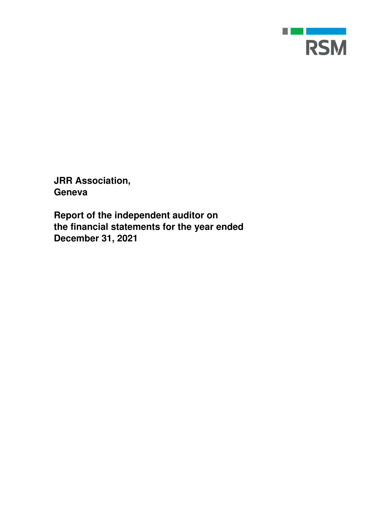

**JRR Association, Geneva** 

**Report of the independent auditor on the financial statements for the year ended December 31, 2021**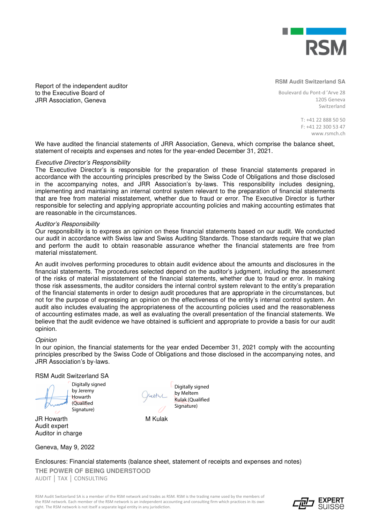

Report of the independent auditor to the Executive Board of JRR Association, Geneva

**RSM Audit Switzerland SA** 

Boulevard du Pont-d 'Arve 28 1205 Geneva Switzerland

> T: +41 22 888 50 50 F: +41 22 300 53 47 www.rsmch.ch

We have audited the financial statements of JRR Association, Geneva, which comprise the balance sheet, statement of receipts and expenses and notes for the year-ended December 31, 2021.

#### Executive Director's Responsibility

The Executive Director's is responsible for the preparation of these financial statements prepared in accordance with the accounting principles prescribed by the Swiss Code of Obligations and those disclosed in the accompanying notes, and JRR Association's by-laws. This responsibility includes designing, implementing and maintaining an internal control system relevant to the preparation of financial statements that are free from material misstatement, whether due to fraud or error. The Executive Director is further responsible for selecting and applying appropriate accounting policies and making accounting estimates that are reasonable in the circumstances.

#### Auditor's Responsibility

Our responsibility is to express an opinion on these financial statements based on our audit. We conducted our audit in accordance with Swiss law and Swiss Auditing Standards. Those standards require that we plan and perform the audit to obtain reasonable assurance whether the financial statements are free from material misstatement.

An audit involves performing procedures to obtain audit evidence about the amounts and disclosures in the financial statements. The procedures selected depend on the auditor's judgment, including the assessment of the risks of material misstatement of the financial statements, whether due to fraud or error. In making those risk assessments, the auditor considers the internal control system relevant to the entity's preparation of the financial statements in order to design audit procedures that are appropriate in the circumstances, but not for the purpose of expressing an opinion on the effectiveness of the entity's internal control system. An audit also includes evaluating the appropriateness of the accounting policies used and the reasonableness of accounting estimates made, as well as evaluating the overall presentation of the financial statements. We believe that the audit evidence we have obtained is sufficient and appropriate to provide a basis for our audit opinion.

#### **Opinion**

In our opinion, the financial statements for the year ended December 31, 2021 comply with the accounting principles prescribed by the Swiss Code of Obligations and those disclosed in the accompanying notes, and JRR Association's by-laws.

#### RSM Audit Switzerland SA

Digitally signed by Jeremy Howarth (Qualified Signature)

JR Howarth M Kulak Audit expert Auditor in charge

Digitally signed by Meltem Kulak (Qualified Signature)

Geneva, May 9, 2022

**THE POWER OF BEING UNDERSTOOD**  AUDIT │ TAX │ CONSULTING Enclosures: Financial statements (balance sheet, statement of receipts and expenses and notes)

RSM Audit Switzerland SA is a member of the RSM network and trades as RSM. RSM is the trading name used by the members of the RSM network. Each member of the RSM network is an independent accounting and consulting firm which practices in its own right. The RSM network is not itself a separate legal entity in any jurisdiction.

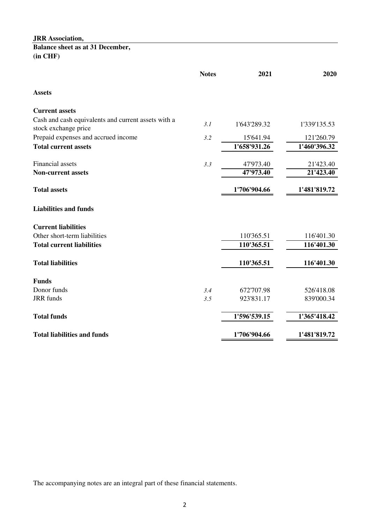**Balance sheet as at 31 December, (in CHF)**

|                                                                             | <b>Notes</b> | 2021         | 2020         |
|-----------------------------------------------------------------------------|--------------|--------------|--------------|
| <b>Assets</b>                                                               |              |              |              |
| <b>Current assets</b>                                                       |              |              |              |
| Cash and cash equivalents and current assets with a<br>stock exchange price | 3.1          | 1'643'289.32 | 1'339'135.53 |
| Prepaid expenses and accrued income                                         | 3.2          | 15'641.94    | 121'260.79   |
| <b>Total current assets</b>                                                 |              | 1'658'931.26 | 1'460'396.32 |
| Financial assets                                                            | 3.3          | 47'973.40    | 21'423.40    |
| <b>Non-current assets</b>                                                   |              | 47'973.40    | 21'423.40    |
| <b>Total assets</b>                                                         |              | 1'706'904.66 | 1'481'819.72 |
| <b>Liabilities and funds</b>                                                |              |              |              |
| <b>Current liabilities</b>                                                  |              |              |              |
| Other short-term liabilities                                                |              | 110'365.51   | 116'401.30   |
| <b>Total current liabilities</b>                                            |              | 110'365.51   | 116'401.30   |
| <b>Total liabilities</b>                                                    |              | 110'365.51   | 116'401.30   |
| <b>Funds</b>                                                                |              |              |              |
| Donor funds                                                                 | 3.4          | 672'707.98   | 526'418.08   |
| <b>JRR</b> funds                                                            | 3.5          | 923'831.17   | 839'000.34   |
| <b>Total funds</b>                                                          |              | 1'596'539.15 | 1'365'418.42 |
| <b>Total liabilities and funds</b>                                          |              | 1'706'904.66 | 1'481'819.72 |

The accompanying notes are an integral part of these financial statements.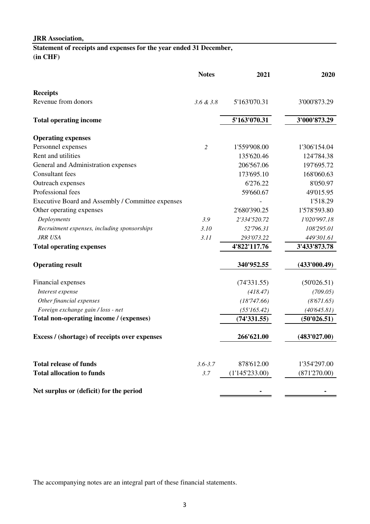# **Statement of receipts and expenses for the year ended 31 December, (in CHF)**

|                                                   | <b>Notes</b>   | 2021           | 2020         |
|---------------------------------------------------|----------------|----------------|--------------|
| <b>Receipts</b>                                   |                |                |              |
| Revenue from donors                               | 3.6 & 3.8      | 5'163'070.31   | 3'000'873.29 |
| <b>Total operating income</b>                     |                | 5'163'070.31   | 3'000'873.29 |
| <b>Operating expenses</b>                         |                |                |              |
| Personnel expenses                                | $\overline{2}$ | 1'559'908.00   | 1'306'154.04 |
| Rent and utilities                                |                | 135'620.46     | 124'784.38   |
| General and Administration expenses               |                | 206'567.06     | 197'695.72   |
| Consultant fees                                   |                | 173'695.10     | 168'060.63   |
| Outreach expenses                                 |                | 6'276.22       | 8'050.97     |
| Professional fees                                 |                | 59'660.67      | 49'015.95    |
| Executive Board and Assembly / Committee expenses |                |                | 1'518.29     |
| Other operating expenses                          |                | 2'680'390.25   | 1'578'593.80 |
| Deployments                                       | 3.9            | 2'334'520.72   | 1'020'997.18 |
| Recruitment expenses, including sponsorships      | 3.10           | 52'796.31      | 108'295.01   |
| JRR USA                                           | 3.11           | 293'073.22     | 449'301.61   |
| <b>Total operating expenses</b>                   |                | 4'822'117.76   | 3'433'873.78 |
| <b>Operating result</b>                           |                | 340'952.55     | (433'000.49) |
| Financial expenses                                |                | (74'331.55)    | (50'026.51)  |
| Interest expense                                  |                | (418.47)       | (709.05)     |
| Other financial expenses                          |                | (18'747.66)    | (8'671.65)   |
| Foreign exchange gain / loss - net                |                | (55'165.42)    | (40'645.81)  |
| Total non-operating income / (expenses)           |                | (74'331.55)    | (50'026.51)  |
| Excess / (shortage) of receipts over expenses     |                | 266'621.00     | (483'027.00) |
| <b>Total release of funds</b>                     | $3.6 - 3.7$    | 878'612.00     | 1'354'297.00 |
| <b>Total allocation to funds</b>                  | 3.7            | (1'145'233.00) | (871'270.00) |
| Net surplus or (deficit) for the period           |                |                |              |

The accompanying notes are an integral part of these financial statements.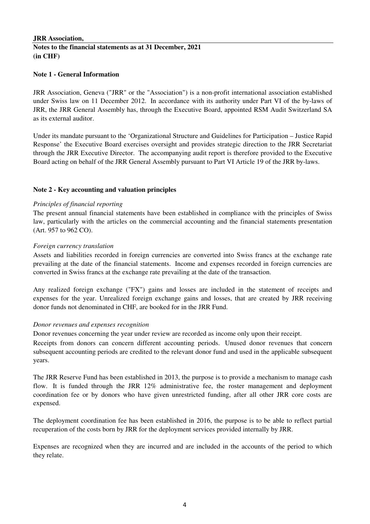### **JRR Association, Notes to the financial statements as at 31 December, 2021 (in CHF)**

### **Note 1 - General Information**

JRR Association, Geneva ("JRR" or the "Association") is a non-profit international association established under Swiss law on 11 December 2012. In accordance with its authority under Part VI of the by-laws of JRR, the JRR General Assembly has, through the Executive Board, appointed RSM Audit Switzerland SA as its external auditor.

Under its mandate pursuant to the 'Organizational Structure and Guidelines for Participation – Justice Rapid Response' the Executive Board exercises oversight and provides strategic direction to the JRR Secretariat through the JRR Executive Director. The accompanying audit report is therefore provided to the Executive Board acting on behalf of the JRR General Assembly pursuant to Part VI Article 19 of the JRR by-laws.

### **Note 2 - Key accounting and valuation principles**

### *Principles of financial reporting*

The present annual financial statements have been established in compliance with the principles of Swiss law, particularly with the articles on the commercial accounting and the financial statements presentation (Art. 957 to 962 CO).

### *Foreign currency translation*

Assets and liabilities recorded in foreign currencies are converted into Swiss francs at the exchange rate prevailing at the date of the financial statements. Income and expenses recorded in foreign currencies are converted in Swiss francs at the exchange rate prevailing at the date of the transaction.

Any realized foreign exchange ("FX") gains and losses are included in the statement of receipts and expenses for the year. Unrealized foreign exchange gains and losses, that are created by JRR receiving donor funds not denominated in CHF, are booked for in the JRR Fund.

### *Donor revenues and expenses recognition*

Donor revenues concerning the year under review are recorded as income only upon their receipt.

Receipts from donors can concern different accounting periods. Unused donor revenues that concern subsequent accounting periods are credited to the relevant donor fund and used in the applicable subsequent years.

The JRR Reserve Fund has been established in 2013, the purpose is to provide a mechanism to manage cash flow. It is funded through the JRR 12% administrative fee, the roster management and deployment coordination fee or by donors who have given unrestricted funding, after all other JRR core costs are expensed.

The deployment coordination fee has been established in 2016, the purpose is to be able to reflect partial recuperation of the costs born by JRR for the deployment services provided internally by JRR.

Expenses are recognized when they are incurred and are included in the accounts of the period to which they relate.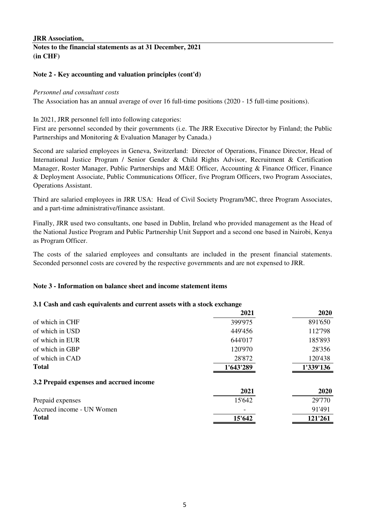## **Notes to the financial statements as at 31 December, 2021 (in CHF)**

### **Note 2 - Key accounting and valuation principles (cont'd)**

### *Personnel and consultant costs*

The Association has an annual average of over 16 full-time positions (2020 - 15 full-time positions).

In 2021, JRR personnel fell into following categories:

First are personnel seconded by their governments (i.e. The JRR Executive Director by Finland; the Public Partnerships and Monitoring & Evaluation Manager by Canada.)

Second are salaried employees in Geneva, Switzerland: Director of Operations, Finance Director, Head of International Justice Program / Senior Gender & Child Rights Advisor, Recruitment & Certification Manager, Roster Manager, Public Partnerships and M&E Officer, Accounting & Finance Officer, Finance & Deployment Associate, Public Communications Officer, five Program Officers, two Program Associates, Operations Assistant.

Third are salaried employees in JRR USA: Head of Civil Society Program/MC, three Program Associates, and a part-time administrative/finance assistant.

Finally, JRR used two consultants, one based in Dublin, Ireland who provided management as the Head of the National Justice Program and Public Partnership Unit Support and a second one based in Nairobi, Kenya as Program Officer.

The costs of the salaried employees and consultants are included in the present financial statements. Seconded personnel costs are covered by the respective governments and are not expensed to JRR.

### **Note 3 - Information on balance sheet and income statement items**

### **3.1 Cash and cash equivalents and current assets with a stock exchange**

|                                         | 2021      | 2020      |
|-----------------------------------------|-----------|-----------|
| of which in CHF                         | 399'975   | 891'650   |
| of which in USD                         | 449'456   | 112'798   |
| of which in EUR                         | 644'017   | 185'893   |
| of which in GBP                         | 120'970   | 28'356    |
| of which in CAD                         | 28'872    | 120'438   |
| <b>Total</b>                            | 1'643'289 | 1'339'136 |
| 3.2 Prepaid expenses and accrued income |           |           |
|                                         | 2021      | 2020      |
| Prepaid expenses                        | 15'642    | 29'770    |
| Accrued income - UN Women               |           | 91'491    |
| <b>Total</b>                            | 15'642    | 121'261   |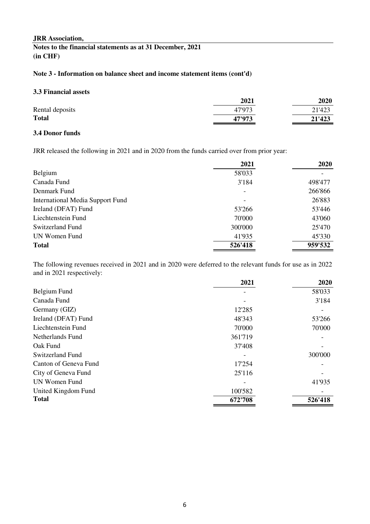**Notes to the financial statements as at 31 December, 2021 (in CHF)**

## **Note 3 - Information on balance sheet and income statement items (cont'd)**

### **3.3 Financial assets**

| 2021   | 2020   |
|--------|--------|
| 47'973 | 21'423 |
| 47'973 | 21'423 |
|        |        |

## **3.4 Donor funds**

JRR released the following in 2021 and in 2020 from the funds carried over from prior year:

|                                  | 2021    | 2020    |
|----------------------------------|---------|---------|
| Belgium                          | 58'033  |         |
| Canada Fund                      | 3'184   | 498'477 |
| Denmark Fund                     |         | 266'866 |
| International Media Support Fund |         | 26'883  |
| Ireland (DFAT) Fund              | 53'266  | 53'446  |
| Liechtenstein Fund               | 70'000  | 43'060  |
| Switzerland Fund                 | 300'000 | 25'470  |
| UN Women Fund                    | 41'935  | 45'330  |
| <b>Total</b>                     | 526'418 | 959'532 |

The following revenues received in 2021 and in 2020 were deferred to the relevant funds for use as in 2022 and in 2021 respectively:

|                       | 2021    | 2020    |
|-----------------------|---------|---------|
| Belgium Fund          |         | 58'033  |
| Canada Fund           |         | 3'184   |
| Germany (GIZ)         | 12'285  |         |
| Ireland (DFAT) Fund   | 48'343  | 53'266  |
| Liechtenstein Fund    | 70'000  | 70'000  |
| Netherlands Fund      | 361'719 |         |
| Oak Fund              | 37'408  |         |
| Switzerland Fund      |         | 300'000 |
| Canton of Geneva Fund | 17'254  |         |
| City of Geneva Fund   | 25'116  |         |
| UN Women Fund         |         | 41'935  |
| United Kingdom Fund   | 100'582 |         |
| <b>Total</b>          | 672'708 | 526'418 |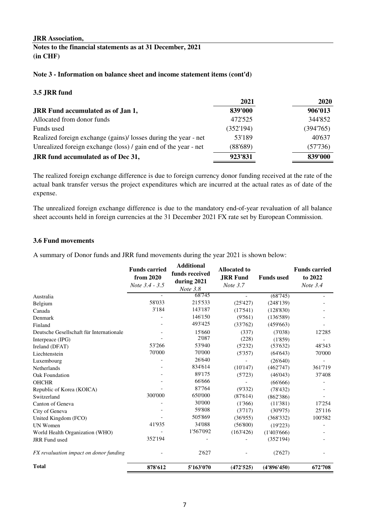**Notes to the financial statements as at 31 December, 2021 (in CHF)**

### **Note 3 - Information on balance sheet and income statement items (cont'd)**

### **3.5 JRR fund**

|                                                                 | 2021      | 2020     |
|-----------------------------------------------------------------|-----------|----------|
| <b>JRR</b> Fund accumulated as of Jan 1,                        | 839'000   | 906'013  |
| Allocated from donor funds                                      | 472'525   | 344'852  |
| Funds used                                                      | (352'194) | (394765) |
| Realized foreign exchange (gains)/ losses during the year - net | 53'189    | 40'637   |
| Unrealized foreign exchange (loss) / gain end of the year - net | (88'689)  | (57'736) |
| JRR fund accumulated as of Dec 31,                              | 923'831   | 839'000  |

The realized foreign exchange difference is due to foreign currency donor funding received at the rate of the actual bank transfer versus the project expenditures which are incurred at the actual rates as of date of the expense.

The unrealized foreign exchange difference is due to the mandatory end-of-year revaluation of all balance sheet accounts held in foreign currencies at the 31 December 2021 FX rate set by European Commission.

### **3.6 Fund movements**

A summary of Donor funds and JRR fund movements during the year 2021 is shown below:

|                                          | <b>Funds carried</b><br>from 2020<br>Note 3.4 - 3.5 | <b>Additional</b><br>funds received<br>during 2021<br>Note 3.8 | <b>Allocated to</b><br><b>JRR Fund</b><br>Note 3.7 | <b>Funds</b> used | <b>Funds carried</b><br>to 2022<br>Note $3.4$ |
|------------------------------------------|-----------------------------------------------------|----------------------------------------------------------------|----------------------------------------------------|-------------------|-----------------------------------------------|
| Australia                                |                                                     | 68'745                                                         |                                                    | (68'745)          |                                               |
| Belgium                                  | 58'033                                              | 215'533                                                        | (25'427)                                           | (248'139)         |                                               |
| Canada                                   | 3'184                                               | 143'187                                                        | (17'541)                                           | (128'830)         |                                               |
| Denmark                                  |                                                     | 146'150                                                        | (9'561)                                            | (136'589)         |                                               |
| Finland                                  |                                                     | 493'425                                                        | (33'762)                                           | (459'663)         |                                               |
| Deutsche Gesellschaft für Internationale |                                                     | 15'660                                                         | (337)                                              | (3'038)           | 12'285                                        |
| Interpeace (IPG)                         |                                                     | 2'087                                                          | (228)                                              | (1'859)           |                                               |
| Ireland (DFAT)                           | 53'266                                              | 53'940                                                         | (5'232)                                            | (53'632)          | 48'343                                        |
| Liechtenstein                            | 70'000                                              | 70'000                                                         | (5'357)                                            | (64'643)          | 70'000                                        |
| Luxembourg                               |                                                     | 26'640                                                         |                                                    | (26'640)          |                                               |
| Netherlands                              |                                                     | 834'614                                                        | (10'147)                                           | (462'747)         | 361'719                                       |
| Oak Foundation                           |                                                     | 89'175                                                         | (5'723)                                            | (46'043)          | 37'408                                        |
| <b>OHCHR</b>                             |                                                     | 66'666                                                         |                                                    | (66'666)          |                                               |
| Republic of Korea (KOICA)                |                                                     | 87'764                                                         | (9'332)                                            | (78'432)          |                                               |
| Switzerland                              | 300'000                                             | 650'000                                                        | (87'614)                                           | (862'386)         |                                               |
| Canton of Geneva                         |                                                     | 30'000                                                         | (1'366)                                            | (11'381)          | 17'254                                        |
| City of Geneva                           |                                                     | 59'808                                                         | (3'717)                                            | (30'975)          | 25'116                                        |
| United Kingdom (FCO)                     |                                                     | 505'869                                                        | (36'955)                                           | (368'332)         | 100'582                                       |
| <b>UN Women</b>                          | 41'935                                              | 34'088                                                         | (56'800)                                           | (19'223)          |                                               |
| World Health Organization (WHO)          |                                                     | 1'567'092                                                      | (163'426)                                          | (1'403'666)       |                                               |
| <b>JRR</b> Fund used                     | 352'194                                             |                                                                |                                                    | (352'194)         |                                               |
| FX revaluation impact on donor funding   |                                                     | 2'627                                                          |                                                    | (2'627)           |                                               |
| <b>Total</b>                             | 878'612                                             | 5'163'070                                                      | (472'525)                                          | (4'896'450)       | 672'708                                       |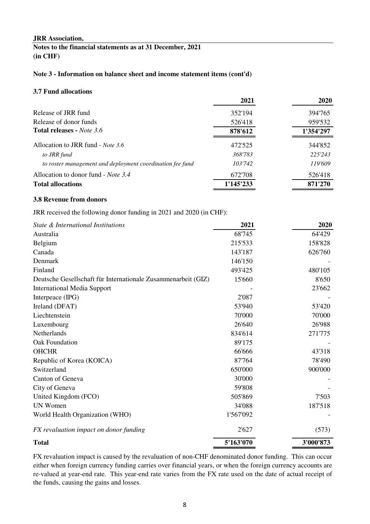**Notes to the financial statements as at 31 December, 2021 (in CHF)**

### **Note 3 - Information on balance sheet and income statement items (cont'd)**

### **3.7 Fund allocations**

|                                                           | 2021      | 2020      |
|-----------------------------------------------------------|-----------|-----------|
| Release of JRR fund                                       | 352'194   | 394'765   |
| Release of donor funds                                    | 526'418   | 959'532   |
| <b>Total releases - Note 3.6</b>                          | 878'612   | 1'354'297 |
| Allocation to JRR fund - Note 3.6                         | 472'525   | 344'852   |
| to JRR fund                                               | 368'783   | 225'243   |
| to roster management and deployment coordination fee fund | 103'742   | 119'609   |
| Allocation to donor fund - <i>Note</i> 3.4                | 672'708   | 526'418   |
| <b>Total allocations</b>                                  | 1'145'233 | 871'270   |

### **3.8 Revenue from donors**

JRR received the following donor funding in 2021 and 2020 (in CHF):

| State & International Institutions                            | 2021      | 2020      |
|---------------------------------------------------------------|-----------|-----------|
| Australia                                                     | 68'745    | 64'429    |
| Belgium                                                       | 215'533   | 158'828   |
| Canada                                                        | 143'187   | 626'760   |
| Denmark                                                       | 146'150   |           |
| Finland                                                       | 493'425   | 480'105   |
| Deutsche Gesellschaft für Internationale Zusammenarbeit (GIZ) | 15'660    | 8'650     |
| <b>International Media Support</b>                            |           | 23'662    |
| Interpeace (IPG)                                              | 2'087     |           |
| Ireland (DFAT)                                                | 53'940    | 53'420    |
| Liechtenstein                                                 | 70'000    | 70'000    |
| Luxembourg                                                    | 26'640    | 26'988    |
| Netherlands                                                   | 834'614   | 271'775   |
| Oak Foundation                                                | 89'175    |           |
| <b>OHCHR</b>                                                  | 66'666    | 43'318    |
| Republic of Korea (KOICA)                                     | 87'764    | 78'490    |
| Switzerland                                                   | 650'000   | 900'000   |
| Canton of Geneva                                              | 30'000    |           |
| City of Geneva                                                | 59'808    |           |
| United Kingdom (FCO)                                          | 505'869   | 7'503     |
| UN Women                                                      | 34'088    | 187'518   |
| World Health Organization (WHO)                               | 1'567'092 |           |
| FX revaluation impact on donor funding                        | 2'627     | (573)     |
| <b>Total</b>                                                  | 5'163'070 | 3'000'873 |

FX revaluation impact is caused by the revaluation of non-CHF denominated donor funding. This can occur either when foreign currency funding carries over financial years, or when the foreign currency accounts are re-valued at year-end rate. This year-end rate varies from the FX rate used on the date of actual receipt of the funds, causing the gains and losses.